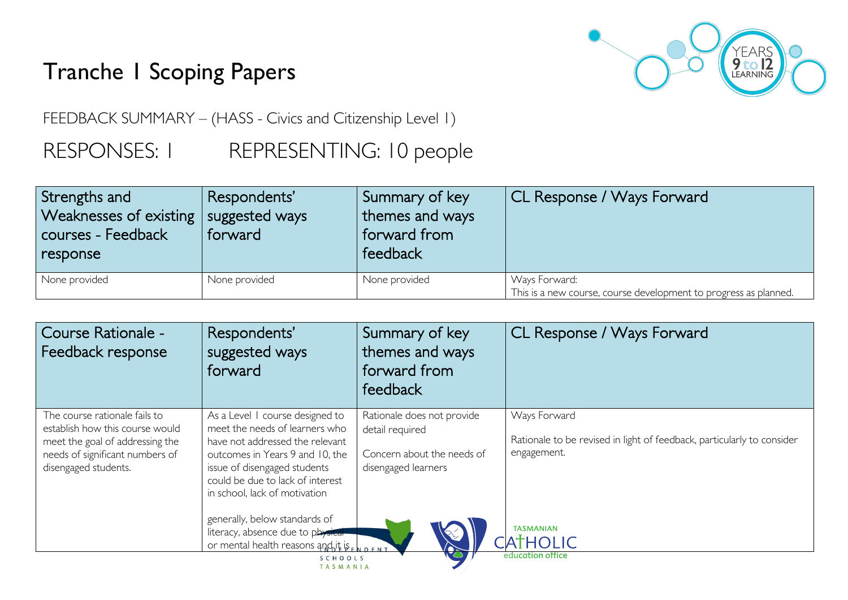# Tranche 1 Scoping Papers



FEEDBACK SUMMARY – (HASS - Civics and Citizenship Level 1)

## RESPONSES: I REPRESENTING: 10 people

| Strengths and<br>Weaknesses of existing<br>courses - Feedback<br>response | Respondents'<br>suggested ways<br>forward | Summary of key<br>themes and ways<br>forward from<br>feedback | CL Response / Ways Forward                                                        |
|---------------------------------------------------------------------------|-------------------------------------------|---------------------------------------------------------------|-----------------------------------------------------------------------------------|
| None provided                                                             | None provided                             | None provided                                                 | Ways Forward:<br>This is a new course, course development to progress as planned. |

| Course Rationale -<br>Feedback response                                                                                                                        | Respondents'<br>suggested ways<br>forward                                                                                                                                                                                                                                                                                                                       | Summary of key<br>themes and ways<br>forward from<br>feedback                                      | CL Response / Ways Forward                                                                                                                  |
|----------------------------------------------------------------------------------------------------------------------------------------------------------------|-----------------------------------------------------------------------------------------------------------------------------------------------------------------------------------------------------------------------------------------------------------------------------------------------------------------------------------------------------------------|----------------------------------------------------------------------------------------------------|---------------------------------------------------------------------------------------------------------------------------------------------|
| The course rationale fails to<br>establish how this course would<br>meet the goal of addressing the<br>needs of significant numbers of<br>disengaged students. | As a Level 1 course designed to<br>meet the needs of learners who<br>have not addressed the relevant<br>outcomes in Years 9 and 10, the<br>issue of disengaged students<br>could be due to lack of interest<br>in school, lack of motivation<br>generally, below standards of<br>literacy, absence due to physical<br>or mental health reasons and it is ENDENT | Rationale does not provide<br>detail required<br>Concern about the needs of<br>disengaged learners | Ways Forward<br>Rationale to be revised in light of feedback, particularly to consider<br>engagement.<br><b>TASMANIAN</b><br><b>ATHOLIC</b> |
| education office<br>SCHOOLS<br>TASMANIA                                                                                                                        |                                                                                                                                                                                                                                                                                                                                                                 |                                                                                                    |                                                                                                                                             |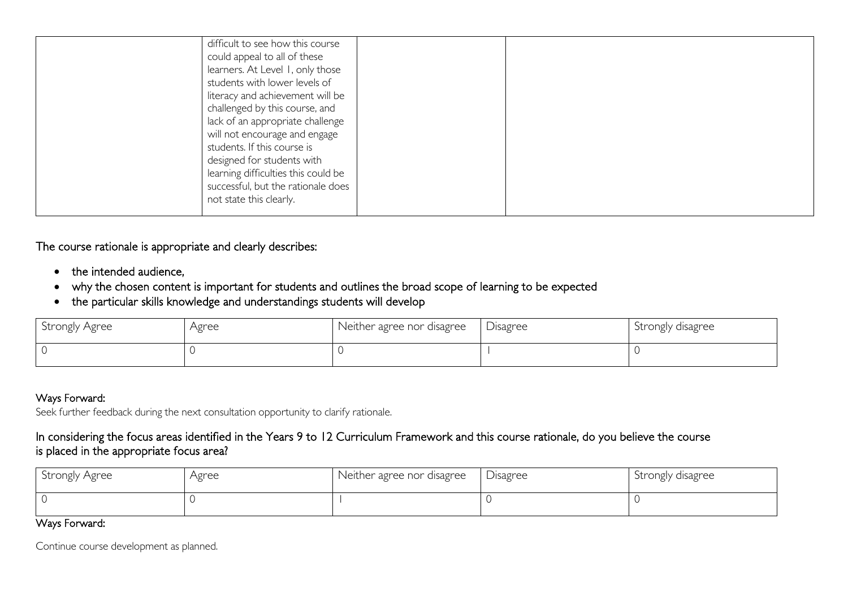| difficult to see how this course<br>could appeal to all of these<br>learners. At Level I, only those<br>students with lower levels of<br>literacy and achievement will be<br>challenged by this course, and<br>lack of an appropriate challenge<br>will not encourage and engage<br>students. If this course is<br>designed for students with |
|-----------------------------------------------------------------------------------------------------------------------------------------------------------------------------------------------------------------------------------------------------------------------------------------------------------------------------------------------|
| learning difficulties this could be                                                                                                                                                                                                                                                                                                           |
| successful, but the rationale does<br>not state this clearly.                                                                                                                                                                                                                                                                                 |

#### The course rationale is appropriate and clearly describes:

- the intended audience.
- why the chosen content is important for students and outlines the broad scope of learning to be expected
- the particular skills knowledge and understandings students will develop

| Strongly Agree | Agree | Neither agree nor disagree | Disagree | Strongly disagree |
|----------------|-------|----------------------------|----------|-------------------|
|                |       |                            |          |                   |

#### Ways Forward:

Seek further feedback during the next consultation opportunity to clarify rationale.

### In considering the focus areas identified in the Years 9 to 12 Curriculum Framework and this course rationale, do you believe the course is placed in the appropriate focus area?

| Strongly Agree | Agree | Neither agree nor disagree | Disagree | Strongly disagree |
|----------------|-------|----------------------------|----------|-------------------|
|                |       |                            |          |                   |

#### Ways Forward:

Continue course development as planned.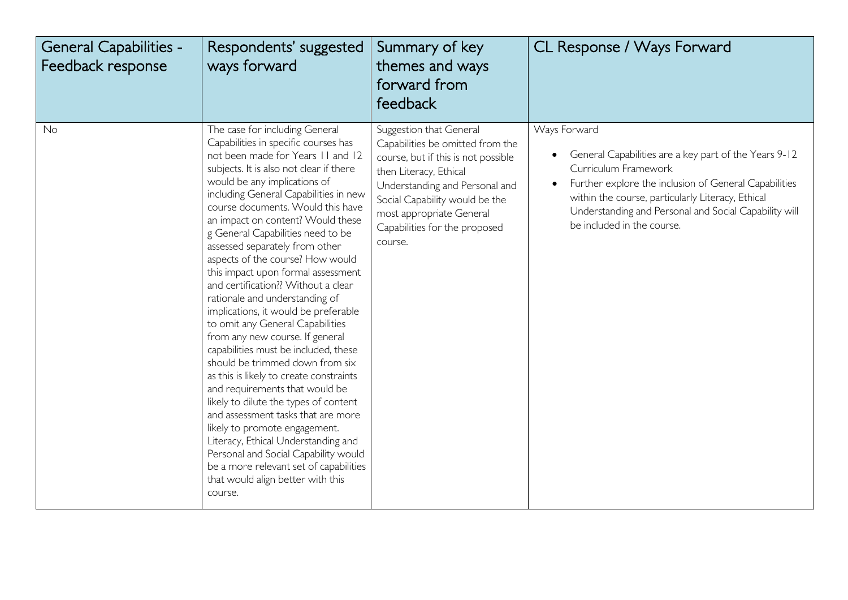| <b>General Capabilities -</b><br>Feedback response | Respondents' suggested<br>ways forward                                                                                                                                                                                                                                                                                                                                                                                                                                                                                                                                                                                                                                                                                                                                                                                                                                                                                                                                                                                                                                                              | Summary of key<br>themes and ways<br>forward from<br>feedback                                                                                                                                                                                                            | CL Response / Ways Forward                                                                                                                                                                                                                                                                           |
|----------------------------------------------------|-----------------------------------------------------------------------------------------------------------------------------------------------------------------------------------------------------------------------------------------------------------------------------------------------------------------------------------------------------------------------------------------------------------------------------------------------------------------------------------------------------------------------------------------------------------------------------------------------------------------------------------------------------------------------------------------------------------------------------------------------------------------------------------------------------------------------------------------------------------------------------------------------------------------------------------------------------------------------------------------------------------------------------------------------------------------------------------------------------|--------------------------------------------------------------------------------------------------------------------------------------------------------------------------------------------------------------------------------------------------------------------------|------------------------------------------------------------------------------------------------------------------------------------------------------------------------------------------------------------------------------------------------------------------------------------------------------|
| No                                                 | The case for including General<br>Capabilities in specific courses has<br>not been made for Years 11 and 12<br>subjects. It is also not clear if there<br>would be any implications of<br>including General Capabilities in new<br>course documents. Would this have<br>an impact on content? Would these<br>g General Capabilities need to be<br>assessed separately from other<br>aspects of the course? How would<br>this impact upon formal assessment<br>and certification?? Without a clear<br>rationale and understanding of<br>implications, it would be preferable<br>to omit any General Capabilities<br>from any new course. If general<br>capabilities must be included, these<br>should be trimmed down from six<br>as this is likely to create constraints<br>and requirements that would be<br>likely to dilute the types of content<br>and assessment tasks that are more<br>likely to promote engagement.<br>Literacy, Ethical Understanding and<br>Personal and Social Capability would<br>be a more relevant set of capabilities<br>that would align better with this<br>course. | Suggestion that General<br>Capabilities be omitted from the<br>course, but if this is not possible<br>then Literacy, Ethical<br>Understanding and Personal and<br>Social Capability would be the<br>most appropriate General<br>Capabilities for the proposed<br>course. | Ways Forward<br>• General Capabilities are a key part of the Years 9-12<br>Curriculum Framework<br>Further explore the inclusion of General Capabilities<br>within the course, particularly Literacy, Ethical<br>Understanding and Personal and Social Capability will<br>be included in the course. |